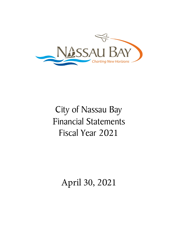

# City of Nassau Bay Financial Statements Fiscal Year 2021

April 30, 2021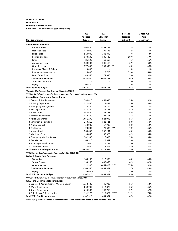#### **City of Nassau Bay Fiscal Year 2021 Summary Financial Report**

**April-2021 (58% of the fiscal year completed)**

|                                                                                | <b>FY21</b>   | <b>FY21</b>   |       | Percent         | 5-Year Avg   |
|--------------------------------------------------------------------------------|---------------|---------------|-------|-----------------|--------------|
|                                                                                | Adopted       | 12 Month      |       | <b>Received</b> | <b>April</b> |
| No. Department                                                                 | <b>Budget</b> | <b>Actual</b> |       | or Spent        | each year    |
| <b>General Fund Revenue:</b>                                                   |               |               |       |                 |              |
| <b>Property Taxes</b>                                                          | 3,898,620     | 4,807,548 *   |       | 123%            | 125%         |
| <b>Franchise Fees</b>                                                          | 440,000       | 195,435       |       | 44%             | 40%          |
| <b>Sales Taxes</b>                                                             | 510,000       | 241,899       |       | 47%             | 43%          |
| Permits and Fees                                                               | 173,100       | 185,449       |       | 107%            | 57%          |
| Fines                                                                          | 85,620        | 60,657        |       | 71%             | 55%          |
| <b>Ambulance Fees</b>                                                          | 309,200       | 206,410       |       | 67%             | 64%          |
| <b>Other Revenue</b>                                                           | 377,440       | 249,333       | $***$ | 66%             | 48%          |
| <b>Insurance Claims &amp; Rebates</b>                                          | 3,000         |               |       | 0%              | 11%          |
| Interest on Investments                                                        | 4,000         | 15,720        |       | 393%            | 63%          |
| From Other Funds                                                               | 149,960       | 74,980        |       | 50%             | 50%          |
| <b>Total Current Revenue</b>                                                   | 5,950,940     | 6,037,431     |       | 101%            | 93%          |
| Transfers (To) From                                                            |               |               |       | 0%              | 0%           |
| Equity                                                                         | 707,470       |               |       | 0%              | 0%           |
| <b>Total Revenue Budget</b>                                                    | 6,658,410     | 6,037,431     |       | 91%             | 86%          |
| *Includes RDA Property Tax Revenue (Budget 1.037M)                             |               |               |       |                 |              |
| **9% of the Other Revenue line item is related to Cares Act Reimbursements 21K |               |               |       |                 |              |
| <b>General Fund Department Expenditures:</b>                                   |               |               |       |                 |              |
| 1 General & Administrative                                                     | 1,580,820     | 863,085       |       | 55%             | 52%          |
| 2 Building Department                                                          | 312,880       | 113,449       |       | 36%             | 53%          |
| 3 Emergency Management                                                         | 134,840       | 27,214        |       | 20%             | 47%          |
| 4 Fire Department                                                              | 347,700       | 176,123       |       | 51%             | 52%          |
| 5 Public Works                                                                 | 468,620       | 244,126       |       | 52%             | 50%          |
| 6 Parks and Recreation                                                         | 452,280       | 202,401       |       | 45%             | 50%          |
| 7 Police Department                                                            | 1,661,290     | 924,993       |       | 56%             | 51%          |
| 8 Sanitation & Recycling                                                       | 243,210       | 121,421       |       | 50%             | 50%          |
| 9 Animal Control                                                               | 33,980        | 17,908        |       | 53%             | 52%          |
| 10 Contingency                                                                 | 90,000        | 70,683        | ***   | 79%             | 35%          |
| 11 Information Services                                                        | 364,650       | 238,234       |       | 65%             | 55%          |
| 12 Municipal Court                                                             | 93,850        | 58,520        |       | 62%             | 54%          |
| 13 Emergency Medical Service                                                   | 582,380       | 316,000       |       | 54%             | 54%          |
| 14 Fire Marshal                                                                | 68,310        | 22,582        |       | 33%             | 39%          |
| 15 Planning & Development                                                      | 1,000         | 1,748         |       | 175%            | 31%          |
| 17 Conference Center                                                           | 222,600       | 115,505       |       | 52%             | 51%          |
| <b>Total General Fund Expenditures</b>                                         | 6,658,410     | 3,513,993     |       | 53%             | 50%          |
| *** 50% of the Contingency line item is related to COVID 35K                   |               |               |       |                 |              |
| <b>Water &amp; Sewer Fund Revenue:</b>                                         |               |               |       |                 |              |
| <b>Water Sales</b>                                                             | 1,189,100     | 512,980       |       | 43%             | 43%          |
| Sewer Charges                                                                  | 1,153,160     | 487,453       |       | 42%             | 42%          |
| <b>Other Charges</b>                                                           | 921,300       | 3,464,429     | ****  | 376%            | 51%          |
| <b>Total Current Revenue</b>                                                   | 3,263,560     | 4,464,862     |       | 137%            | 43%          |
| Equity                                                                         | (155, 640)    |               |       | 0%              | 0%           |
| <b>Total W&amp;S Revenue Budget</b>                                            | 3,107,920     | 4,464,862     |       | 144%            | 36%          |
| **** 3M TX Waterworks & Sewer System Revenue Bonds, Series 2020                |               |               |       |                 |              |
| <b>W&amp;S Fund Department Expenditures:</b>                                   |               |               |       |                 |              |
| 1 General & Administrative - Water & Sewer                                     | 1,352,420     | 745,902       |       | 55%             | 52%          |
| 2 Water Department                                                             | 869,730       | 312,875       |       | 36%             | 36%          |
| 3 Sewer Department                                                             | 694,500       | 190,768       |       | 27%             | 37%          |
| 4 Debt Service & Depreciation                                                  | 191,270       | 215,022 ***** |       | 112%            | 74%          |
| <b>Total W&amp;S Fund Expenditures</b>                                         | 3,107,920     | 1,464,567     |       | 47%             | 47%          |
|                                                                                |               |               |       |                 |              |

*\*\*\*\*\*26% of the Debt Service & Depreciation line item is related to Revenue Bond Issuance Costs 57K*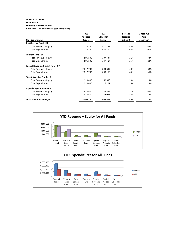## **City of Nassau Bay**

# **Fiscal Year 2021**

**Summary Financial Report April-2021 (58% of the fiscal year completed)**

|                                   | <b>FY21</b>   | <b>FY21</b> | Percent         | 5-Year Avg   |
|-----------------------------------|---------------|-------------|-----------------|--------------|
|                                   | Adopted       | 12 Month    | <b>Received</b> | <b>April</b> |
| No. Department                    | <b>Budget</b> | Actual      | or Spent        | each year    |
| <b>Debt Service Fund - 04</b>     |               |             |                 |              |
| Total Revenue + Equity            | 730,200       | 410,465     | 56%             | 69%          |
| <b>Total Expenditures</b>         | 730,200       | 671,319     | 92%             | 91%          |
| <b>Tourism Fund - 06</b>          |               |             |                 |              |
| Total Revenue + Equity            | 996,500       | 207,634     | 21%             | 38%          |
| <b>Total Expenditures</b>         | 996,500       | 247,414     | 25%             | 28%          |
| Special Revenue & Grant Fund - 07 |               |             |                 |              |
| Total Revenue + Equity            | 2,217,700     | 894,647     | 40%             | 68%          |
| <b>Total Expenditures</b>         | 2,217,700     | 1,009,166   | 46%             | 36%          |
| <b>Street Sales Tax Fund - 10</b> |               |             |                 |              |
| Total Revenue + Equity            | 310,000       | 62,580      | 20%             | 18%          |
| <b>Total Expenditures</b>         | 310,000       | 15,101      | 5%              | 18%          |
| <b>Capital Projects Fund - 09</b> |               |             |                 |              |
| Total Revenue + Equity            | 488,630       | 129,536     | 27%             | 63%          |
| <b>Total Expenditures</b>         | 488,630       | 177,078     | 36%             | 42%          |
| <b>Total Nassau Bay Budget</b>    | 14,509,360    | 7,098,638   | 49%             | 46%          |

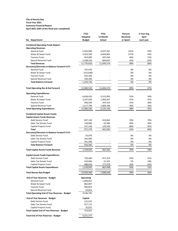## **City of Nassau Bay Fiscal Year 2021 Summary Financial Report April-2021 (58% of the fiscal year completed)**

|                                                                              | <b>FY21</b>        | <b>FY21</b>   | Percent         | 5-Year Avg   |
|------------------------------------------------------------------------------|--------------------|---------------|-----------------|--------------|
|                                                                              | <b>Adopted</b>     | 12 Month      | <b>Received</b> | <b>April</b> |
| No. Department                                                               | <b>Budget</b>      | <b>Actual</b> | or Spent        | each year    |
|                                                                              |                    |               |                 |              |
| <b>Combined Operating Funds Report:</b><br><b>Operating Revenue:</b>         |                    |               |                 |              |
| <b>General Fund</b>                                                          | 5,950,940          | 6,037,431     | 101%            | 93%          |
| Water & Sewer Fund                                                           | 3,263,560          | 4,464,862     | 137%            | 43%          |
| <b>Tourism Fund</b>                                                          | 454,000            | 207,634       | 46%             | 55%          |
| Special Revenue Fund                                                         | 2,108,310          | 894,647       | 42%             | 62%          |
| <b>Total Revenue</b>                                                         | 11,776,810         | 11,604,574    | 99%             | 80%          |
| (Increase)/Decrease in Balance Forward Yr/Yr                                 |                    |               |                 |              |
| <b>General Fund</b>                                                          | 707,470            |               | 0%              | 0%           |
| Water & Sewer Fund                                                           | (155, 640)         |               | 0%              | 0%           |
| <b>Tourism Fund</b>                                                          |                    |               |                 | 0%           |
|                                                                              | 542,500            |               | 0%<br>0%        | 0%           |
| Special Revenue Fund<br><b>Total Balance Forward</b>                         | 109,390            |               | 0%              | 0%           |
|                                                                              | 1,203,720          |               |                 |              |
| <b>Total Operating Rev &amp; Bal Forward</b>                                 | 12,980,530         | 11,604,574    | 89%             | 67%          |
| <b>Operating Expenditures:</b>                                               |                    |               |                 |              |
| <b>General Fund</b>                                                          | 6,658,410          | 3,513,993     | 53%             | 50%          |
| Water & Sewer Fund                                                           | 3,107,920          | 1,464,567     | 47%             | 47%          |
| <b>Tourism Fund</b>                                                          | 996,500            | 247,414       | 25%             | 28%          |
| Special Revenue Fund                                                         | 2,217,700          | 1,009,166     | 46%             | 36%          |
| <b>Total Operating Expenditures</b>                                          | 12,980,530         | 6,235,140     | 48%             | 45%          |
|                                                                              |                    |               |                 |              |
| <b>Combined Capital Assets Funds:</b>                                        |                    |               |                 |              |
| <b>Capital Assets Funds Revenue:</b>                                         |                    |               |                 |              |
| Debt Service Fund                                                            | 697,130            | 410,465       | 59%             | 70%          |
| Sales Tax Streets Fund                                                       | 128,000            | 62,580        | 49%             | 49%          |
| Capital Projects Fund                                                        | 147,140            | 129,536       | 88%             | 92%          |
| <b>Total</b>                                                                 | 972,270            | 602,582       | 62%             | 80%          |
| (Increase)/Decrease in Balance Forward Yr/Yr                                 |                    |               |                 |              |
| Debt Service Fund                                                            | 33,070             |               | 0%              | 0%           |
| Sales Tax Streets Fund                                                       | 182,000            |               | 0%              | 0%           |
| Capital Projects Fund                                                        | 341,490            |               | 0%              | 0%           |
| <b>Total Balance Forward</b>                                                 | 556,560            |               | 0%              | 0%           |
|                                                                              |                    |               |                 |              |
| <b>Total Capital Assets Funds Revenue</b>                                    | 1,528,830          | 602,582       | 39%             | 58%          |
| <b>Capital Assets Funds Expenditures:</b>                                    |                    |               |                 |              |
| Debt Service Fund                                                            | 730,200            | 671,319       | 92%             | 91%          |
| Sales Tax Streets Fund                                                       | 310,000            | 15,101        | 5%              | 18%          |
| Capital Projects Fund                                                        | 488,630            | 177,078       | 36%             | 42%          |
| <b>Total Capital Assets Expenditures</b>                                     | 1,528,830          | 863,498       | 56%             | 52%          |
| <b>Total Nassau Bay Budget</b>                                               | 14,509,360         | 7,098,638     | 49%             | 46%          |
| <b>End of Year Reserves - Budget</b>                                         | <b>Operating</b>   |               |                 |              |
| <b>General Fund</b>                                                          | 1,684,051          |               |                 |              |
| Water & Sewer Fund                                                           | 862,007            |               |                 |              |
| <b>Tourism Fund</b>                                                          | 946,853            |               |                 |              |
|                                                                              | 43,834             |               |                 |              |
| Special Revenue Fund<br><b>Total Operating End of Year Reserves - Budget</b> | 3,536,745          |               |                 |              |
|                                                                              |                    |               |                 |              |
| <b>End of Year Reserves - Budget</b><br>Debt Service Fund                    | Capital<br>122,423 |               |                 |              |
| Sales Tax Streets Fund                                                       | 557,172            |               |                 |              |
|                                                                              |                    |               |                 |              |
| Capital Projects Fund                                                        | 35,037             |               |                 |              |
| <b>Total Capital End of Year Reserves - Budget</b>                           | 714,632            |               |                 |              |
| <b>Total End of Year Reserves - Budget</b>                                   | 4,251,377          |               |                 |              |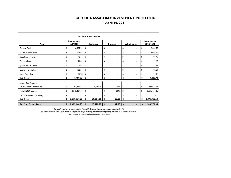| Fund                       | <b>Investments</b><br>4/1/2021 |                           | <b>Additions</b>         | <b>Interest</b>                | <b>Withdrawals</b>             | <b>Investments</b><br>04/30/2021 |
|----------------------------|--------------------------------|---------------------------|--------------------------|--------------------------------|--------------------------------|----------------------------------|
| General Fund               | \$<br>6,089.90                 | \$                        | $\overline{\phantom{a}}$ | \$<br>$\overline{\phantom{0}}$ | \$<br>$\blacksquare$           | \$<br>6,089.90                   |
| Water & Sewer Fund         | \$<br>1,007.82                 | \$                        |                          | \$<br>$\overline{\phantom{0}}$ | \$<br>$\overline{\phantom{a}}$ | \$<br>1,007.82                   |
| Debt Service Fund          | \$<br>93.47                    | \$                        | ٠                        | \$<br>٠                        | \$<br>$\blacksquare$           | \$<br>93.47                      |
| <b>Tourism Fund</b>        | \$<br>91.63                    | \$                        | $\overline{a}$           | \$<br>٠                        | \$<br>$\blacksquare$           | \$<br>91.63                      |
| Special Rev. & Grants      | \$<br>2.64                     | \$                        | $\blacksquare$           | \$<br>٠                        | \$<br>$\blacksquare$           | \$<br>2.64                       |
| Capital Projects Fund      | \$<br>102.51                   | \$                        | $\blacksquare$           | \$<br>٠                        | \$<br>$\blacksquare$           | \$<br>102.51                     |
| <b>Street Sales Tax</b>    | \$<br>21.76                    | \$                        | $\overline{\phantom{a}}$ | \$<br>$\overline{\phantom{0}}$ | \$<br>$\overline{a}$           | \$<br>21.76                      |
| Sub-Total                  | \$<br>7,409.73                 |                           |                          | \$<br>۰                        | \$                             | \$<br>7,409.73                   |
| Nassau Bay Economic        |                                |                           |                          |                                |                                |                                  |
| Development Corporation    | \$<br>263,329.55               | \$                        | 20,591.39                | \$<br>3.04                     | \$<br>$\blacksquare$           | \$<br>283,923.98                 |
| TWDB 2020 Escrow           | \$<br>2,615,407.67             | \$                        | $\overline{\phantom{0}}$ | \$<br>28.96                    | \$<br>$\blacksquare$           | \$<br>2,615,436.63               |
| TIRZ Revenue - RDA Equity  | \$<br>$\overline{a}$           | \$                        |                          | \$                             | \$<br>$\overline{a}$           | \$                               |
| Sub-Total                  | \$<br>2,878,737.22             | \$                        | 20,591.39                | \$<br>32.00                    | \$                             | \$<br>2,899,360.61               |
| <b>TexPool Grand Total</b> | \$<br>2,886,146.95             | $\boldsymbol{\mathsf{s}}$ | 20,591.39                | \$<br>32.00                    | \$                             | \$<br>2,906,770.34               |

#### **TexPool Investments**

Texpool's weighted average maturity (\*) was 29 days and the average interest rate was .0135%.

*(\*) TexPool WAM Days (2) To arrive at weighted average maturity, the maturity of floating rate and variable rate securities was deemed to be the final maturity of such securities.*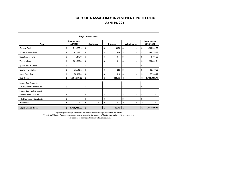| Fund                      | <b>Investments</b><br>4/1/2021 |    | <b>Additions</b>         | Interest             |    | <b>Withdrawals</b>       |    | <b>Investments</b><br>04/30/2021 |
|---------------------------|--------------------------------|----|--------------------------|----------------------|----|--------------------------|----|----------------------------------|
| General Fund              | \$<br>1,241,277.10             | \$ | ٠                        | \$<br>86.78          | \$ | ٠                        |    | 1,241,363.88                     |
| Water & Sewer Fund        | \$<br>142, 168.73              | \$ | ٠                        | \$<br>9.94           | \$ | ٠                        | \$ | 142, 178.67                      |
| Debt Service Fund         | \$<br>I,495.97                 | \$ | $\overline{\phantom{0}}$ | \$<br>0.11           | \$ | ٠                        | \$ | 1,496.08                         |
| <b>Tourism Fund</b>       | \$<br>201,867.83               | \$ | ۰                        | \$<br>14.11          | \$ | ۰                        | \$ | 201,881.94                       |
| Special Rev. & Grants     | \$<br>$\sim$                   | \$ | $\blacksquare$           | \$<br>$\blacksquare$ | \$ | ۰                        | \$ |                                  |
| Capital Projects Fund     | \$<br>36,546.75                | \$ | ٠                        | \$<br>2.55           | \$ | $\overline{\phantom{0}}$ | \$ | 36,549.30                        |
| <b>Street Sales Tax</b>   | \$<br>78,362.64                | \$ | $\blacksquare$           | \$<br>5.48           | \$ | ٠                        | \$ | 78,368.12                        |
| Sub-Total                 | \$<br>1,701,719.02             | \$ |                          | \$<br>118.97         | \$ |                          | \$ | 1,701,837.99                     |
| Nassau Bay Economic       |                                |    |                          |                      |    |                          |    |                                  |
| Development Corporation   | \$<br>$\blacksquare$           | \$ | ٠                        | \$<br>۰.             | \$ |                          | \$ |                                  |
| Nassau Bay Tax Increment  |                                |    |                          |                      |    |                          |    |                                  |
| Reinvestment Zone No. I   | \$<br>$\blacksquare$           | \$ | $\blacksquare$           | \$<br>٠              | \$ | ٠                        | \$ |                                  |
| TIRZ Revenue - RDA Equity | \$                             | \$ | ٠                        | \$<br>۰              | \$ | ۰                        | \$ |                                  |
| Sub-Total                 | \$                             |    |                          | \$                   | \$ |                          |    |                                  |
|                           |                                |    |                          |                      |    |                          |    |                                  |
| <b>Logic Grand Total</b>  | \$<br>1,701,719.02             | \$ |                          | \$<br>118.97         | \$ |                          | \$ | 1,701,837.99                     |

**Logic Investments**

Logic's weighted average maturity (\*) was 56 days and the average interest rate was .0851%.

*(\*) Logic WAM Days To arrive at weighted average maturity, the maturity of floating rate and variable rate securities was deemed to be the final maturity of such securities.*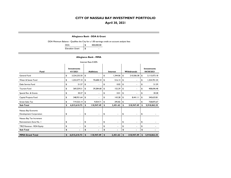#### **Allegiance Bank - DDA & Grant**

DDA Minimum Balance - Qualifies the City for a 1.00 earnings credit on account analysis fees

| <b>DDA</b>             | 400,000.00 |
|------------------------|------------|
| <b>Elevation Grant</b> | \$         |

#### **Allegiance Bank - MMA**

| Interest Rate 0.50%                                 |                    |                          |                                  |                |    |                |         |                |    |                 |  |  |  |
|-----------------------------------------------------|--------------------|--------------------------|----------------------------------|----------------|----|----------------|---------|----------------|----|-----------------|--|--|--|
| Fund                                                | <b>Investments</b> |                          | <b>Investments</b><br>04/30/2021 |                |    |                |         |                |    |                 |  |  |  |
| General Fund                                        | \$                 | 3,324,235.50             | \$                               | $\blacksquare$ | \$ | 1,344.06       | \$      | 210,506.38     | \$ | 3, 115, 073. 18 |  |  |  |
| Water & Sewer Fund                                  | \$                 | 1,253,577.10             | \$                               | 70,608.10      | \$ | 516.14         | \$      | ۰              | \$ | 1,324,701.34    |  |  |  |
| Debt Service Fund                                   | \$                 | 51.57                    | \$                               |                | \$ | 0.02           | \$      | ۰              | \$ | 51.59           |  |  |  |
| <b>Tourism Fund</b>                                 | \$                 | 369,259.51               | \$                               | 39,284.68      | \$ | 152.29         | \$      |                | \$ | 408,696.48      |  |  |  |
| Special Rev. & Grants                               | \$                 | 30.27                    | \$                               | $\blacksquare$ | \$ | 0.01           | \$      | ۰              | \$ | 30.28           |  |  |  |
| Capital Projects Fund                               | \$                 | 348,931.64               | \$                               | $\blacksquare$ |    | 143.28         | \$      | 8,441.11       | \$ | 340,633.81      |  |  |  |
| <b>Street Sales Tax</b>                             | \$                 | 719,525.14               | \$                               | 9,054.71       | \$ | 295.82         | \$      | ٠              | \$ | 728.875.67      |  |  |  |
| Sub-Total                                           | \$                 | 6,015,610.73             | \$                               | 118,947.49     | \$ | 2,451.62       | \$      | 218,947.49     | \$ | 5,918,062.35    |  |  |  |
| Nassau Bay Economic<br>Development Corporation      | \$                 | $\overline{\phantom{a}}$ | \$                               | $\blacksquare$ | \$ | $\blacksquare$ | \$      | $\blacksquare$ | \$ |                 |  |  |  |
| Nassau Bay Tax Increment<br>Reinvestment Zone No. I | \$                 | $\blacksquare$           | \$                               | $\blacksquare$ | \$ | $\blacksquare$ | \$      | $\blacksquare$ | \$ |                 |  |  |  |
| TIRZ Revenue - RDA Equity                           | \$                 |                          | \$                               |                | \$ | ٠              | \$      | ۰              | \$ |                 |  |  |  |
| Sub-Total                                           | \$                 |                          | \$                               |                | \$ |                | \$<br>٠ |                |    | \$              |  |  |  |
| <b>MMA Grand Total</b>                              | \$                 | 6,015,610.73             | \$                               | 118,947.49     | \$ | 2,451.62       | \$      | 218,947.49     | \$ | 5,918,062.35    |  |  |  |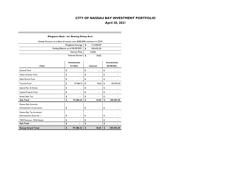#### **Allegiance Bank - Int. Bearing Sweep Acct.**

| Sweep Account to collect all excess over \$400,000 minimum in DDA |            |  |
|-------------------------------------------------------------------|------------|--|
| Weighted Average   \$                                             | 113,458.29 |  |
| Ending Balance as of $04/30/2021$   \$                            | 109.492.50 |  |
| Interest Rate                                                     | 0.20%      |  |
| Interest Earned   \$                                              | 18.65      |  |

|                           | <b>Investments</b> |             | <b>Investments</b> |
|---------------------------|--------------------|-------------|--------------------|
| Fund                      | 4/1/2021           | Interest    | 04/30/2021         |
| General Fund              | \$                 | \$          | \$                 |
| Water & Sewer Fund        | \$                 | \$          | \$                 |
| Debt Service Fund         | \$                 | \$          | \$                 |
| <b>Tourism Fund</b>       | \$<br>97,486.22    | \$<br>18.65 | \$<br>109,492.50   |
| Special Rev. & Grants     | \$                 | \$          | \$                 |
| Capital Projects Fund     | \$                 | \$          | \$                 |
| <b>Street Sales Tax</b>   | \$                 | \$          | \$                 |
| Sub-Total                 | \$<br>97,486.22    | \$<br>18.65 | \$<br>109,492.50   |
| Nassau Bay Economic       |                    |             |                    |
| Development Corporation   | \$                 | \$          | \$                 |
| Nassau Bay Tax Increment  |                    |             |                    |
| Reinvestment Zone No. I   | \$                 | \$          | \$                 |
| TIRZ Revenue - RDA Equity | \$                 | \$          | \$                 |
| Sub-Total                 | \$                 | \$          | \$                 |
| <b>Sweep Grand Total</b>  | \$<br>97,486.22    | \$<br>18.65 | \$<br>109,492.50   |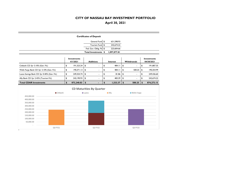|                                            |                                | <b>Certificates of Deposit</b>  |                           |                     |              |                           |                                  |
|--------------------------------------------|--------------------------------|---------------------------------|---------------------------|---------------------|--------------|---------------------------|----------------------------------|
|                                            |                                | General Fund \$                 |                           | 631,598.93          |              |                           |                                  |
|                                            |                                | Tourism Fund \$                 |                           | 242,674.22          |              |                           |                                  |
|                                            |                                | Fed. Gov. Oblig. Fd \$          |                           | 223,604.66          |              |                           |                                  |
|                                            |                                | Total Investments \$            |                           | 1,097,877.81        |              |                           |                                  |
|                                            | <b>Investments</b><br>4/1/2021 | <b>Additions</b>                |                           | Interest            | Withdrawals  |                           | <b>Investments</b><br>04/30/2021 |
| Citibank CD 3yr 3.10% (Gen. Fd.)           | \$<br>191,323.24               | \$<br>$\blacksquare$            | \$                        | 484.11              | \$<br>÷      | \$                        | 191,807.35                       |
| Wells Fargo Bank CD 3yr 3.10% (Gen. Fd.)   | \$<br>190,371.13               | \$                              | \$                        | 484.11              | \$<br>500.25 | \$                        | 190,354.99                       |
| Luana Savings Bank CD 3yr 0.40% (Gen. Fd.) | \$<br>249,354.74               | \$                              | \$                        | 81.86               | \$<br>ä,     | \$                        | 249,436.60                       |
| Ally Bank CD 2yr 2.45% (Tourism Fd.)       | \$<br>242, 190.93              | \$                              | \$                        | 483.29              | \$           | \$                        | 242,674.22                       |
| <b>Total CDAR Investments</b>              | \$<br>873,240.03               | $\mathbf{S}$<br>٠               | $\boldsymbol{\mathsf{s}}$ | 1,533.37            | \$<br>500.25 | $\boldsymbol{\mathsf{s}}$ | 874,273.15                       |
|                                            |                                | <b>CD Maturities By Quarter</b> |                           |                     |              |                           |                                  |
| Citibank                                   |                                | <b>Luana</b>                    |                           | $\blacksquare$ Ally | Wells Fargo  |                           |                                  |
| 450,000.00                                 |                                |                                 |                           |                     |              |                           |                                  |
| 400,000.00                                 |                                |                                 |                           |                     |              |                           |                                  |
| 350,000.00                                 |                                |                                 |                           |                     |              |                           |                                  |
| 300,000.00                                 |                                |                                 |                           |                     |              |                           |                                  |
| 250,000.00                                 |                                |                                 |                           |                     |              |                           |                                  |
| 200,000.00                                 |                                |                                 |                           |                     |              |                           |                                  |
| 150,000.00                                 |                                |                                 |                           |                     |              |                           |                                  |
| 100,000.00<br>50,000.00                    |                                |                                 |                           |                     |              |                           |                                  |
| Q3 FY21                                    |                                | Q2 FY22                         |                           |                     | Q3 FY23      |                           |                                  |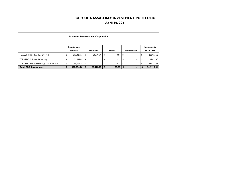#### **Economic Development Corporation**

|                                              | Investments |                  |                          |      |                          |      |                          | Investments |  |  |
|----------------------------------------------|-------------|------------------|--------------------------|------|--------------------------|------|--------------------------|-------------|--|--|
|                                              | 4/1/2021    | <b>Additions</b> |                          |      | Interest                 |      | <b>Withdrawals</b>       | 04/30/2021  |  |  |
| Texpool - EDC - Int. Rate 0.0135%            | 263,329.55  |                  | 20.591.39                | - \$ | 3.04                     | - 56 |                          | 283,923.98  |  |  |
| TCB - EDC BizReward Checking                 | 21.822.45   | ا 1              | $\overline{\phantom{a}}$ |      | $\overline{\phantom{a}}$ |      |                          | 21,822.45   |  |  |
| TCB - EDC BizReward Savings - Int. Rate .37% | 244.102.76  | ا 1              | $\blacksquare$           |      | 70.22                    | l S  | $\overline{\phantom{0}}$ | 244.172.98  |  |  |
| <b>Total EDC Investments</b>                 | 529,254.76  |                  | 20,591.39                |      | 73.26                    |      | -                        | 549,919.41  |  |  |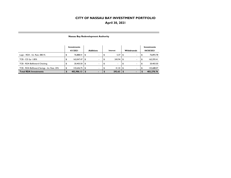#### **Investments Investments 4/1/2021 AdditionsInterest Withdrawals** 04/30/2021 Logic - RDA - Int. Rate .0851% 76,893.78  $\frac{1}{3}$  76,888.41  $\frac{1}{3}$  -  $\frac{1}{3}$  5.37  $\frac{1}{3}$  -  $\frac{1}{3}$  76,893.78 TCB - CD 3yr 1.85% 162,047.47 \$ - \$ 245.94 \$ - \$ 162,293.41 \$ TCB - RDA BizReward Checking 20,403.50 \$ - \$ - \$ - \$ 20,403.50 \$ TCB - RDA BizReward Savings - Int. Rate .35%  $\frac{1}{3}$  143,646.75  $\frac{1}{3}$  -  $\frac{1}{3}$  - 41.32  $\frac{1}{3}$  -  $\frac{41.32}{3}$  -  $\frac{1}{3}$  -  $\frac{1}{3}$  - 143,688.07 **Total RDA Investments 402,986.13 \$ - \$ 292.63 \$ - \$ 403,278.76 \$**

#### **Nassau Bay Redevelopment Authority**